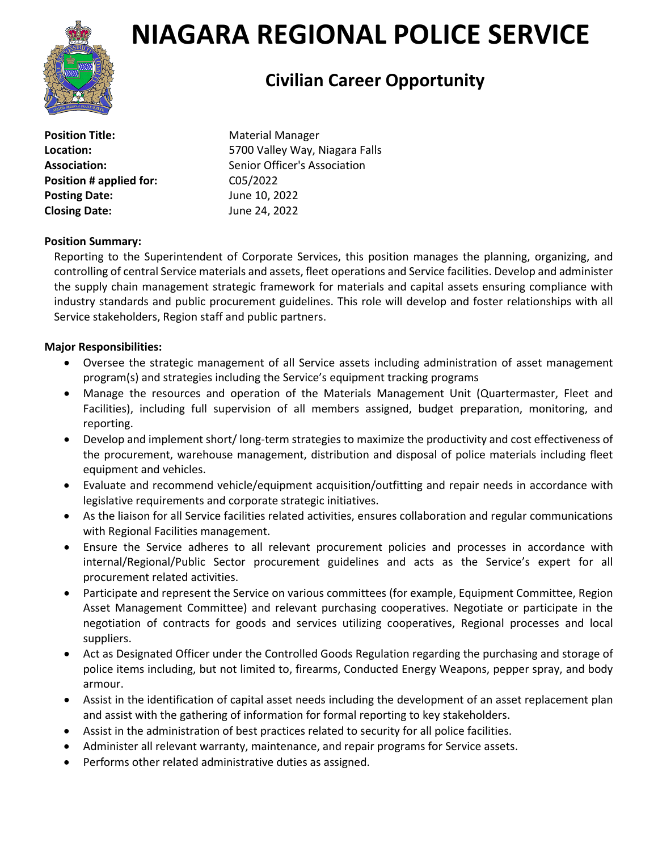

# **NIAGARA REGIONAL POLICE SERVICE**

# **Civilian Career Opportunity**

**Position Title:** Material Manager **Position # applied for:** C05/2022 **Posting Date:** June 10, 2022 **Closing Date:** June 24, 2022

**Location:** 5700 Valley Way, Niagara Falls Association: Senior Officer's Association

## **Position Summary:**

Reporting to the Superintendent of Corporate Services, this position manages the planning, organizing, and controlling of central Service materials and assets, fleet operations and Service facilities. Develop and administer the supply chain management strategic framework for materials and capital assets ensuring compliance with industry standards and public procurement guidelines. This role will develop and foster relationships with all Service stakeholders, Region staff and public partners.

### **Major Responsibilities:**

- Oversee the strategic management of all Service assets including administration of asset management program(s) and strategies including the Service's equipment tracking programs
- Manage the resources and operation of the Materials Management Unit (Quartermaster, Fleet and Facilities), including full supervision of all members assigned, budget preparation, monitoring, and reporting.
- Develop and implement short/ long-term strategies to maximize the productivity and cost effectiveness of the procurement, warehouse management, distribution and disposal of police materials including fleet equipment and vehicles.
- Evaluate and recommend vehicle/equipment acquisition/outfitting and repair needs in accordance with legislative requirements and corporate strategic initiatives.
- As the liaison for all Service facilities related activities, ensures collaboration and regular communications with Regional Facilities management.
- Ensure the Service adheres to all relevant procurement policies and processes in accordance with internal/Regional/Public Sector procurement guidelines and acts as the Service's expert for all procurement related activities.
- Participate and represent the Service on various committees (for example, Equipment Committee, Region Asset Management Committee) and relevant purchasing cooperatives. Negotiate or participate in the negotiation of contracts for goods and services utilizing cooperatives, Regional processes and local suppliers.
- Act as Designated Officer under the Controlled Goods Regulation regarding the purchasing and storage of police items including, but not limited to, firearms, Conducted Energy Weapons, pepper spray, and body armour.
- Assist in the identification of capital asset needs including the development of an asset replacement plan and assist with the gathering of information for formal reporting to key stakeholders.
- Assist in the administration of best practices related to security for all police facilities.
- Administer all relevant warranty, maintenance, and repair programs for Service assets.
- Performs other related administrative duties as assigned.